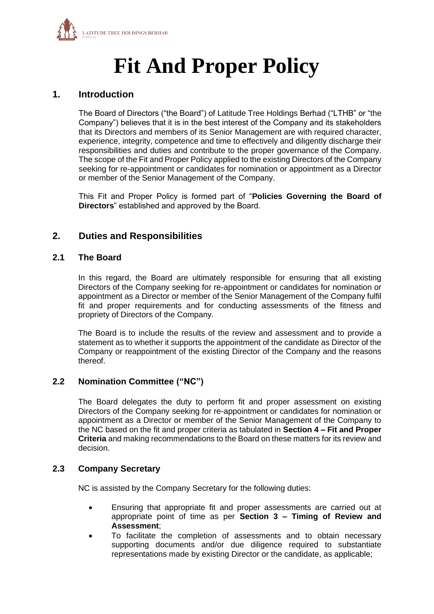

# **Fit And Proper Policy**

## **1. Introduction**

The Board of Directors ("the Board") of Latitude Tree Holdings Berhad ("LTHB" or "the Company") believes that it is in the best interest of the Company and its stakeholders that its Directors and members of its Senior Management are with required character, experience, integrity, competence and time to effectively and diligently discharge their responsibilities and duties and contribute to the proper governance of the Company. The scope of the Fit and Proper Policy applied to the existing Directors of the Company seeking for re-appointment or candidates for nomination or appointment as a Director or member of the Senior Management of the Company.

This Fit and Proper Policy is formed part of "**Policies Governing the Board of Directors**" established and approved by the Board.

## **2. Duties and Responsibilities**

### **2.1 The Board**

In this regard, the Board are ultimately responsible for ensuring that all existing Directors of the Company seeking for re-appointment or candidates for nomination or appointment as a Director or member of the Senior Management of the Company fulfil fit and proper requirements and for conducting assessments of the fitness and propriety of Directors of the Company.

The Board is to include the results of the review and assessment and to provide a statement as to whether it supports the appointment of the candidate as Director of the Company or reappointment of the existing Director of the Company and the reasons thereof.

## **2.2 Nomination Committee ("NC")**

The Board delegates the duty to perform fit and proper assessment on existing Directors of the Company seeking for re-appointment or candidates for nomination or appointment as a Director or member of the Senior Management of the Company to the NC based on the fit and proper criteria as tabulated in **Section 4 – Fit and Proper Criteria** and making recommendations to the Board on these matters for its review and decision.

## **2.3 Company Secretary**

NC is assisted by the Company Secretary for the following duties:

- Ensuring that appropriate fit and proper assessments are carried out at appropriate point of time as per **Section 3 – Timing of Review and Assessment**;
- To facilitate the completion of assessments and to obtain necessary supporting documents and/or due diligence required to substantiate representations made by existing Director or the candidate, as applicable;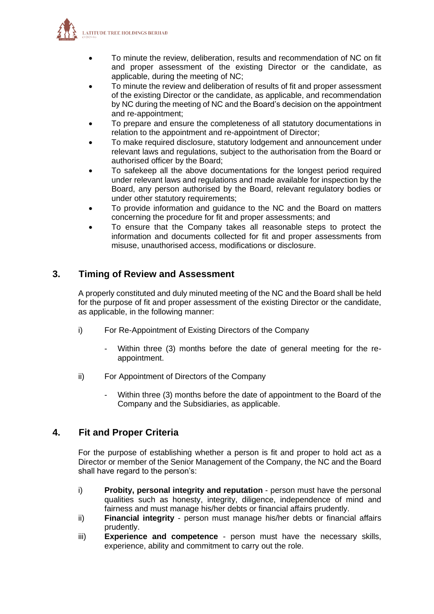

- To minute the review, deliberation, results and recommendation of NC on fit and proper assessment of the existing Director or the candidate, as applicable, during the meeting of NC;
- To minute the review and deliberation of results of fit and proper assessment of the existing Director or the candidate, as applicable, and recommendation by NC during the meeting of NC and the Board's decision on the appointment and re-appointment;
- To prepare and ensure the completeness of all statutory documentations in relation to the appointment and re-appointment of Director;
- To make required disclosure, statutory lodgement and announcement under relevant laws and regulations, subject to the authorisation from the Board or authorised officer by the Board;
- To safekeep all the above documentations for the longest period required under relevant laws and regulations and made available for inspection by the Board, any person authorised by the Board, relevant regulatory bodies or under other statutory requirements;
- To provide information and guidance to the NC and the Board on matters concerning the procedure for fit and proper assessments; and
- To ensure that the Company takes all reasonable steps to protect the information and documents collected for fit and proper assessments from misuse, unauthorised access, modifications or disclosure.

## **3. Timing of Review and Assessment**

A properly constituted and duly minuted meeting of the NC and the Board shall be held for the purpose of fit and proper assessment of the existing Director or the candidate, as applicable, in the following manner:

- i) For Re-Appointment of Existing Directors of the Company
	- Within three (3) months before the date of general meeting for the reappointment.
- ii) For Appointment of Directors of the Company
	- Within three (3) months before the date of appointment to the Board of the Company and the Subsidiaries, as applicable.

## **4. Fit and Proper Criteria**

For the purpose of establishing whether a person is fit and proper to hold act as a Director or member of the Senior Management of the Company, the NC and the Board shall have regard to the person's:

- i) **Probity, personal integrity and reputation** person must have the personal qualities such as honesty, integrity, diligence, independence of mind and fairness and must manage his/her debts or financial affairs prudently.
- ii) **Financial integrity** person must manage his/her debts or financial affairs prudently.
- iii) **Experience and competence** person must have the necessary skills, experience, ability and commitment to carry out the role.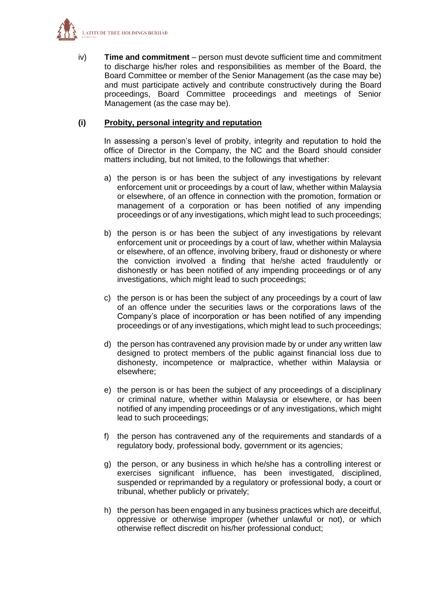

iv) **Time and commitment** – person must devote sufficient time and commitment to discharge his/her roles and responsibilities as member of the Board, the Board Committee or member of the Senior Management (as the case may be) and must participate actively and contribute constructively during the Board proceedings, Board Committee proceedings and meetings of Senior Management (as the case may be).

### **(i) Probity, personal integrity and reputation**

In assessing a person's level of probity, integrity and reputation to hold the office of Director in the Company, the NC and the Board should consider matters including, but not limited, to the followings that whether:

- a) the person is or has been the subject of any investigations by relevant enforcement unit or proceedings by a court of law, whether within Malaysia or elsewhere, of an offence in connection with the promotion, formation or management of a corporation or has been notified of any impending proceedings or of any investigations, which might lead to such proceedings;
- b) the person is or has been the subject of any investigations by relevant enforcement unit or proceedings by a court of law, whether within Malaysia or elsewhere, of an offence, involving bribery, fraud or dishonesty or where the conviction involved a finding that he/she acted fraudulently or dishonestly or has been notified of any impending proceedings or of any investigations, which might lead to such proceedings;
- c) the person is or has been the subject of any proceedings by a court of law of an offence under the securities laws or the corporations laws of the Company's place of incorporation or has been notified of any impending proceedings or of any investigations, which might lead to such proceedings;
- d) the person has contravened any provision made by or under any written law designed to protect members of the public against financial loss due to dishonesty, incompetence or malpractice, whether within Malaysia or elsewhere;
- e) the person is or has been the subject of any proceedings of a disciplinary or criminal nature, whether within Malaysia or elsewhere, or has been notified of any impending proceedings or of any investigations, which might lead to such proceedings;
- f) the person has contravened any of the requirements and standards of a regulatory body, professional body, government or its agencies;
- g) the person, or any business in which he/she has a controlling interest or exercises significant influence, has been investigated, disciplined, suspended or reprimanded by a regulatory or professional body, a court or tribunal, whether publicly or privately;
- h) the person has been engaged in any business practices which are deceitful, oppressive or otherwise improper (whether unlawful or not), or which otherwise reflect discredit on his/her professional conduct;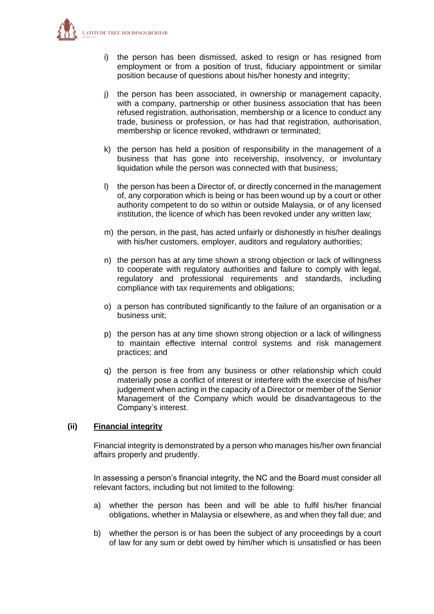

- i) the person has been dismissed, asked to resign or has resigned from employment or from a position of trust, fiduciary appointment or similar position because of questions about his/her honesty and integrity;
- j) the person has been associated, in ownership or management capacity, with a company, partnership or other business association that has been refused registration, authorisation, membership or a licence to conduct any trade, business or profession, or has had that registration, authorisation, membership or licence revoked, withdrawn or terminated;
- k) the person has held a position of responsibility in the management of a business that has gone into receivership, insolvency, or involuntary liquidation while the person was connected with that business;
- l) the person has been a Director of, or directly concerned in the management of, any corporation which is being or has been wound up by a court or other authority competent to do so within or outside Malaysia, or of any licensed institution, the licence of which has been revoked under any written law;
- m) the person, in the past, has acted unfairly or dishonestly in his/her dealings with his/her customers, employer, auditors and regulatory authorities;
- n) the person has at any time shown a strong objection or lack of willingness to cooperate with regulatory authorities and failure to comply with legal, regulatory and professional requirements and standards, including compliance with tax requirements and obligations;
- o) a person has contributed significantly to the failure of an organisation or a business unit;
- p) the person has at any time shown strong objection or a lack of willingness to maintain effective internal control systems and risk management practices; and
- q) the person is free from any business or other relationship which could materially pose a conflict of interest or interfere with the exercise of his/her judgement when acting in the capacity of a Director or member of the Senior Management of the Company which would be disadvantageous to the Company's interest.

### **(ii) Financial integrity**

Financial integrity is demonstrated by a person who manages his/her own financial affairs properly and prudently.

In assessing a person's financial integrity, the NC and the Board must consider all relevant factors, including but not limited to the following:

- a) whether the person has been and will be able to fulfil his/her financial obligations, whether in Malaysia or elsewhere, as and when they fall due; and
- b) whether the person is or has been the subject of any proceedings by a court of law for any sum or debt owed by him/her which is unsatisfied or has been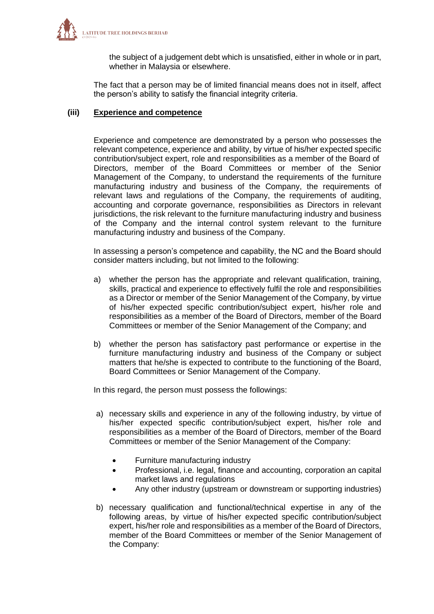

the subject of a judgement debt which is unsatisfied, either in whole or in part, whether in Malaysia or elsewhere.

The fact that a person may be of limited financial means does not in itself, affect the person's ability to satisfy the financial integrity criteria.

#### **(iii) Experience and competence**

Experience and competence are demonstrated by a person who possesses the relevant competence, experience and ability, by virtue of his/her expected specific contribution/subject expert, role and responsibilities as a member of the Board of Directors, member of the Board Committees or member of the Senior Management of the Company, to understand the requirements of the furniture manufacturing industry and business of the Company, the requirements of relevant laws and regulations of the Company, the requirements of auditing, accounting and corporate governance, responsibilities as Directors in relevant jurisdictions, the risk relevant to the furniture manufacturing industry and business of the Company and the internal control system relevant to the furniture manufacturing industry and business of the Company.

In assessing a person's competence and capability, the NC and the Board should consider matters including, but not limited to the following:

- a) whether the person has the appropriate and relevant qualification, training, skills, practical and experience to effectively fulfil the role and responsibilities as a Director or member of the Senior Management of the Company, by virtue of his/her expected specific contribution/subject expert, his/her role and responsibilities as a member of the Board of Directors, member of the Board Committees or member of the Senior Management of the Company; and
- b) whether the person has satisfactory past performance or expertise in the furniture manufacturing industry and business of the Company or subject matters that he/she is expected to contribute to the functioning of the Board, Board Committees or Senior Management of the Company.

In this regard, the person must possess the followings:

- a) necessary skills and experience in any of the following industry, by virtue of his/her expected specific contribution/subject expert, his/her role and responsibilities as a member of the Board of Directors, member of the Board Committees or member of the Senior Management of the Company:
	- Furniture manufacturing industry
	- Professional, i.e. legal, finance and accounting, corporation an capital market laws and regulations
	- Any other industry (upstream or downstream or supporting industries)
- b) necessary qualification and functional/technical expertise in any of the following areas, by virtue of his/her expected specific contribution/subject expert, his/her role and responsibilities as a member of the Board of Directors, member of the Board Committees or member of the Senior Management of the Company: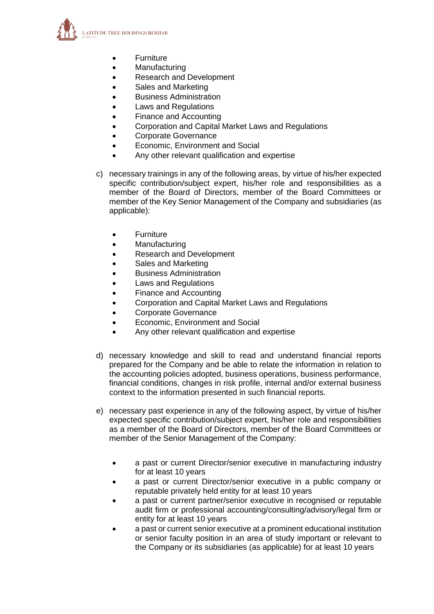

- Furniture
- Manufacturing
- Research and Development
- Sales and Marketing
- Business Administration
- Laws and Regulations
- Finance and Accounting
- Corporation and Capital Market Laws and Regulations
- Corporate Governance
- Economic, Environment and Social
- Any other relevant qualification and expertise
- c) necessary trainings in any of the following areas, by virtue of his/her expected specific contribution/subject expert, his/her role and responsibilities as a member of the Board of Directors, member of the Board Committees or member of the Key Senior Management of the Company and subsidiaries (as applicable):
	- Furniture
	- Manufacturing
	- Research and Development
	- Sales and Marketing
	- Business Administration
	- Laws and Regulations
	- Finance and Accounting
	- Corporation and Capital Market Laws and Regulations
	- Corporate Governance
	- Economic, Environment and Social
	- Any other relevant qualification and expertise
- d) necessary knowledge and skill to read and understand financial reports prepared for the Company and be able to relate the information in relation to the accounting policies adopted, business operations, business performance, financial conditions, changes in risk profile, internal and/or external business context to the information presented in such financial reports.
- e) necessary past experience in any of the following aspect, by virtue of his/her expected specific contribution/subject expert, his/her role and responsibilities as a member of the Board of Directors, member of the Board Committees or member of the Senior Management of the Company:
	- a past or current Director/senior executive in manufacturing industry for at least 10 years
	- a past or current Director/senior executive in a public company or reputable privately held entity for at least 10 years
	- a past or current partner/senior executive in recognised or reputable audit firm or professional accounting/consulting/advisory/legal firm or entity for at least 10 years
	- a past or current senior executive at a prominent educational institution or senior faculty position in an area of study important or relevant to the Company or its subsidiaries (as applicable) for at least 10 years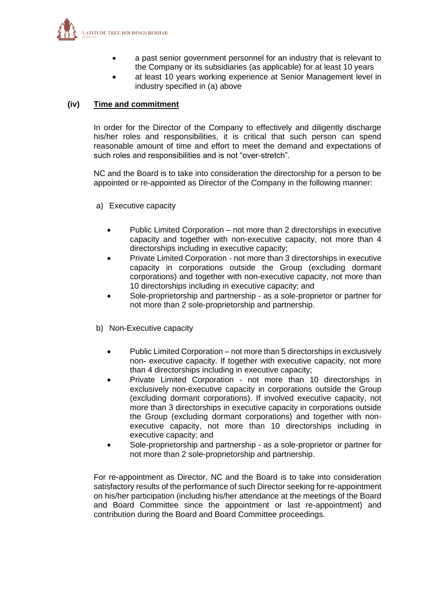

- a past senior government personnel for an industry that is relevant to the Company or its subsidiaries (as applicable) for at least 10 years
- at least 10 years working experience at Senior Management level in industry specified in (a) above

### **(iv) Time and commitment**

In order for the Director of the Company to effectively and diligently discharge his/her roles and responsibilities, it is critical that such person can spend reasonable amount of time and effort to meet the demand and expectations of such roles and responsibilities and is not "over-stretch".

NC and the Board is to take into consideration the directorship for a person to be appointed or re-appointed as Director of the Company in the following manner:

- a) Executive capacity
	- Public Limited Corporation not more than 2 directorships in executive capacity and together with non-executive capacity, not more than 4 directorships including in executive capacity;
	- Private Limited Corporation not more than 3 directorships in executive capacity in corporations outside the Group (excluding dormant corporations) and together with non-executive capacity, not more than 10 directorships including in executive capacity; and
	- Sole-proprietorship and partnership as a sole-proprietor or partner for not more than 2 sole-proprietorship and partnership.
- b) Non-Executive capacity
	- Public Limited Corporation not more than 5 directorships in exclusively non- executive capacity. If together with executive capacity, not more than 4 directorships including in executive capacity;
	- Private Limited Corporation not more than 10 directorships in exclusively non-executive capacity in corporations outside the Group (excluding dormant corporations). If involved executive capacity, not more than 3 directorships in executive capacity in corporations outside the Group (excluding dormant corporations) and together with nonexecutive capacity, not more than 10 directorships including in executive capacity; and
	- Sole-proprietorship and partnership as a sole-proprietor or partner for not more than 2 sole-proprietorship and partnership.

For re-appointment as Director, NC and the Board is to take into consideration satisfactory results of the performance of such Director seeking for re-appointment on his/her participation (including his/her attendance at the meetings of the Board and Board Committee since the appointment or last re-appointment) and contribution during the Board and Board Committee proceedings.